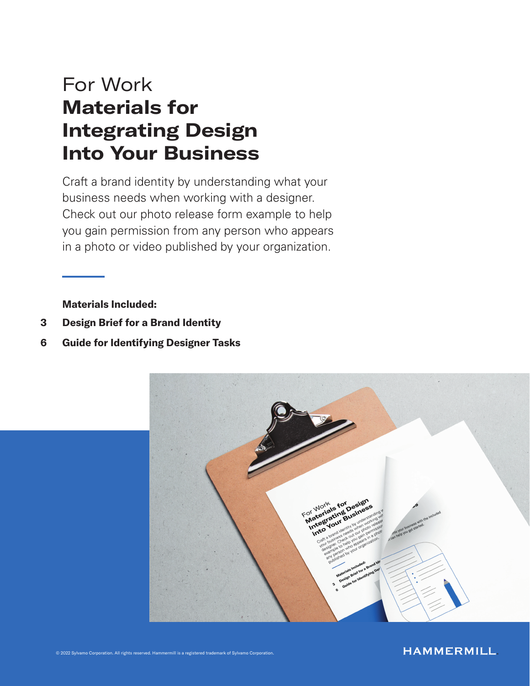# For Work Materials for Integrating Design Into Your Business

Craft a brand identity by understanding what your business needs when working with a designer. Check out our photo release form example to help you gain permission from any person who appears in a photo or video published by your organization.

Materials Included:

- 3 Design Brief for a Brand Identity
- 6 Guide for Identifying Designer Tasks



#### **HAMMERMILL**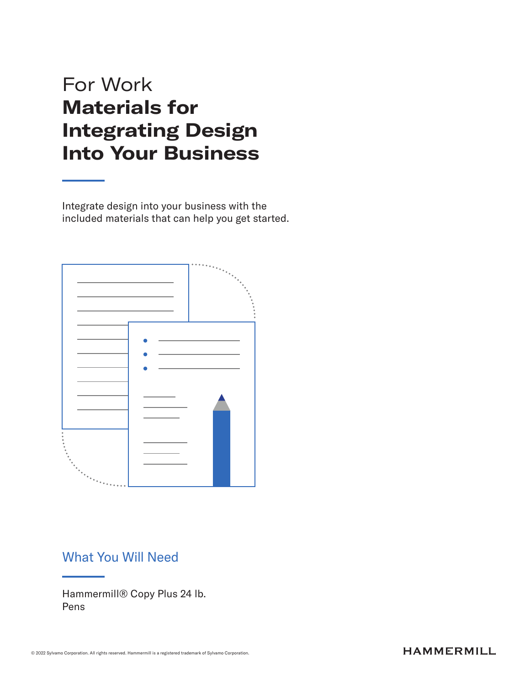# For Work Materials for Integrating Design Into Your Business

Integrate design into your business with the included materials that can help you get started.



### What You Will Need

Hammermill® Copy Plus 24 lb. Pens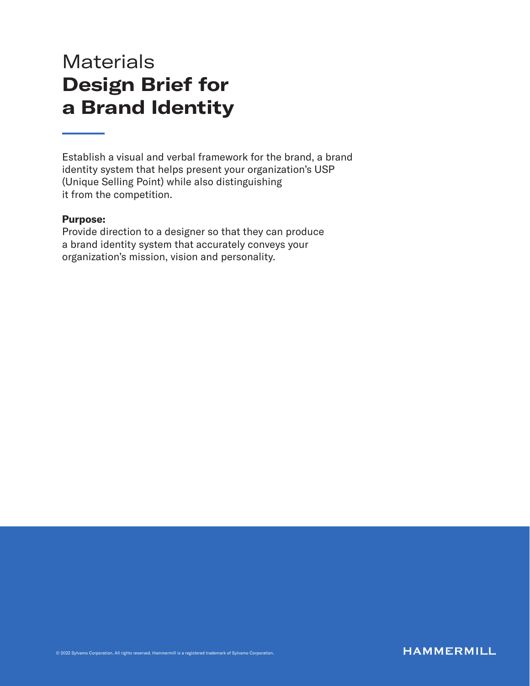### **Materials** Design Brief for a Brand Identity

Establish a visual and verbal framework for the brand, a brand identity system that helps present your organization's USP (Unique Selling Point) while also distinguishing it from the competition.

#### Purpose:

Provide direction to a designer so that they can produce a brand identity system that accurately conveys your organization's mission, vision and personality.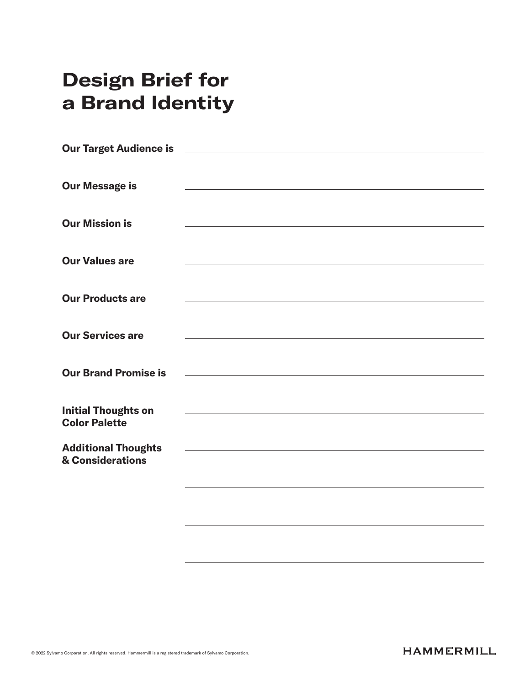# Design Brief for a Brand Identity

| <b>Our Message is</b>                          |                                                                                           |
|------------------------------------------------|-------------------------------------------------------------------------------------------|
|                                                |                                                                                           |
|                                                |                                                                                           |
| <b>Our Mission is</b>                          |                                                                                           |
|                                                |                                                                                           |
| <b>Our Values are</b>                          |                                                                                           |
|                                                |                                                                                           |
| <b>Our Products are</b>                        |                                                                                           |
|                                                |                                                                                           |
|                                                |                                                                                           |
| <b>Our Services are</b>                        |                                                                                           |
|                                                |                                                                                           |
| <b>Our Brand Promise is</b>                    |                                                                                           |
|                                                |                                                                                           |
| <b>Initial Thoughts on</b>                     | the control of the control of the control of the control of the control of the control of |
| <b>Color Palette</b>                           |                                                                                           |
|                                                |                                                                                           |
| <b>Additional Thoughts</b><br>& Considerations |                                                                                           |
|                                                |                                                                                           |
|                                                |                                                                                           |
|                                                |                                                                                           |
|                                                |                                                                                           |
|                                                |                                                                                           |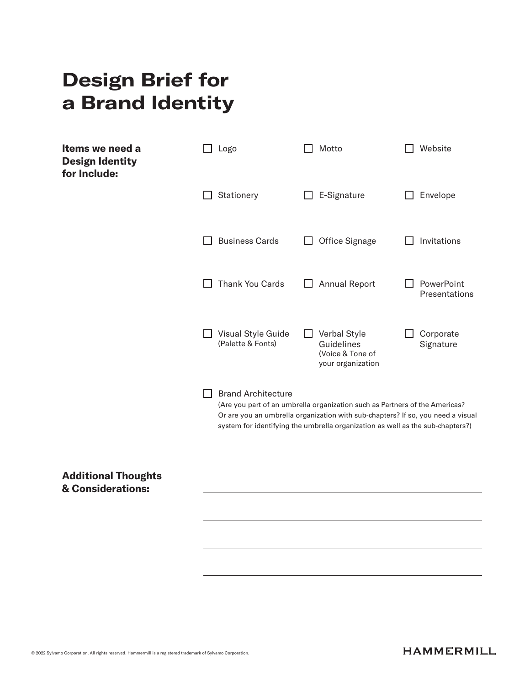# Design Brief for a Brand Identity

| Items we need a<br><b>Design Identity</b><br>for Include: | Logo                                                                                                                                                                                                                                                                          | Motto                                                               | Website                     |
|-----------------------------------------------------------|-------------------------------------------------------------------------------------------------------------------------------------------------------------------------------------------------------------------------------------------------------------------------------|---------------------------------------------------------------------|-----------------------------|
|                                                           | Stationery                                                                                                                                                                                                                                                                    | E-Signature                                                         | Envelope                    |
|                                                           | <b>Business Cards</b>                                                                                                                                                                                                                                                         | Office Signage                                                      | Invitations                 |
|                                                           | <b>Thank You Cards</b>                                                                                                                                                                                                                                                        | <b>Annual Report</b>                                                | PowerPoint<br>Presentations |
|                                                           | Visual Style Guide<br>(Palette & Fonts)                                                                                                                                                                                                                                       | Verbal Style<br>Guidelines<br>(Voice & Tone of<br>your organization | Corporate<br>Signature      |
|                                                           | <b>Brand Architecture</b><br>(Are you part of an umbrella organization such as Partners of the Americas?<br>Or are you an umbrella organization with sub-chapters? If so, you need a visual<br>system for identifying the umbrella organization as well as the sub-chapters?) |                                                                     |                             |
| <b>Additional Thoughts</b><br>& Considerations:           |                                                                                                                                                                                                                                                                               |                                                                     |                             |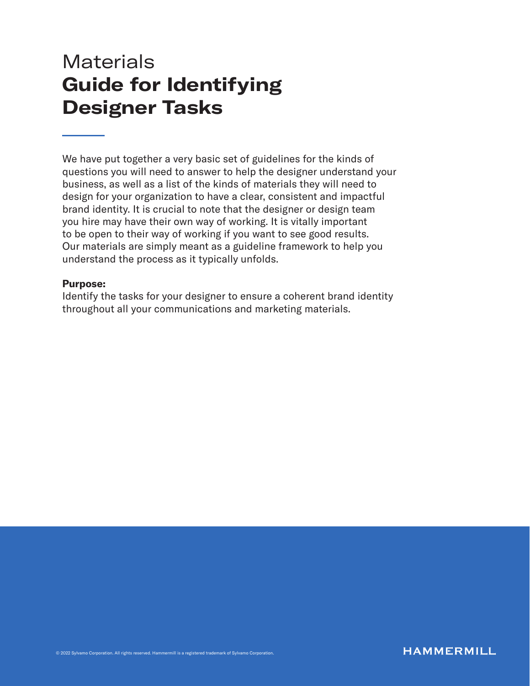### **Materials** Guide for Identifying Designer Tasks

We have put together a very basic set of guidelines for the kinds of questions you will need to answer to help the designer understand your business, as well as a list of the kinds of materials they will need to design for your organization to have a clear, consistent and impactful brand identity. It is crucial to note that the designer or design team you hire may have their own way of working. It is vitally important to be open to their way of working if you want to see good results. Our materials are simply meant as a guideline framework to help you understand the process as it typically unfolds.

#### Purpose:

Identify the tasks for your designer to ensure a coherent brand identity throughout all your communications and marketing materials.